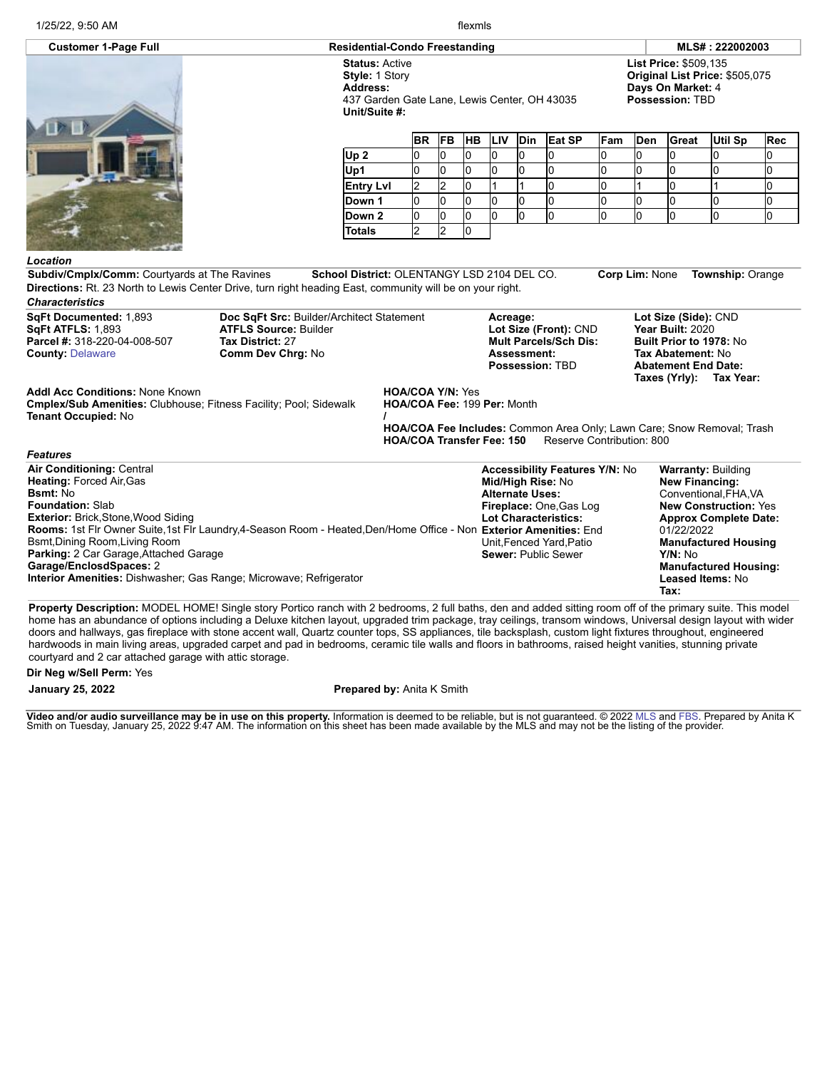1/25/22, 9:50 AM flexmls

437 Garden Gate Lane, Lewis Center, OH 43035

## **Customer 1-Page Full Residential-Condo Freestanding MLS# : 222002003**

**List Price:** \$509,135 **Original List Price:** \$505,075 **Days On Market:** 4 **Possession:** TBD

|                  | <b>BR</b> |   | FB HB LIV |    | <b>Din</b> | Eat SP | Fam | Den | Great | Util Sp | Rec |
|------------------|-----------|---|-----------|----|------------|--------|-----|-----|-------|---------|-----|
| Up2              |           | 0 | U         | ιU |            |        | υ   | 10  |       |         |     |
| Up1              |           |   |           | ıu |            |        |     | ıО  |       |         |     |
| <b>Entry Lvl</b> |           |   |           |    |            |        |     |     |       |         |     |
| Down 1           |           |   |           | ıu |            |        |     | IO  |       |         |     |
| Down 2           |           |   |           | υ  |            |        | U   | IO  |       |         |     |
| <b>Totals</b>    |           |   |           |    |            |        |     |     |       |         |     |

*Location*

*Features*

**Subdiv/Cmplx/Comm:** Courtyards at The Ravines **School District:** OLENTANGY LSD 2104 DEL CO. **Corp Lim:** None **Township:** Orange **Directions:** Rt. 23 North to Lewis Center Drive, turn right heading East, community will be on your right. *Characteristics*

**Status:** Active **Style:** 1 Story **Address:**

**Unit/Suite #:**

**SqFt Documented:** 1,893 **SqFt ATFLS:** 1,893 **Parcel #:** 318-220-04-008-507 **County:** [Delaware](http://www.columbusmls.net/tempoforward/forward.php?&county=Delaware&parcel=318-220-04-008-507)

**Doc SqFt Src:** Builder/Architect Statement **ATFLS Source:** Builder **Tax District:** 27 **Comm Dev Chrg:** No

**Acreage: Lot Size (Front):** CND **Mult Parcels/Sch Dis: Assessment: Possession:** TBD

**Lot Size (Side):** CND **Year Built:** 2020 **Built Prior to 1978:** No **Tax Abatement:** No **Abatement End Date: Taxes (Yrly): Tax Year:**

**Addl Acc Conditions:** None Known

**Cmplex/Sub Amenities:** Clubhouse; Fitness Facility; Pool; Sidewalk **Tenant Occupied:** No

**HOA/COA Y/N:** Yes **HOA/COA Fee:** 199 **Per:** Month **/**

**HOA/COA Fee Includes:** Common Area Only; Lawn Care; Snow Removal; Trash **HOA/COA Transfer Fee: 150** Reserve Contribution: 800

| <b>Air Conditioning: Central</b>                                                                                   | <b>Accessibility Features Y/N: No</b> | <b>Warranty: Building</b>    |
|--------------------------------------------------------------------------------------------------------------------|---------------------------------------|------------------------------|
| <b>Heating: Forced Air, Gas</b>                                                                                    | Mid/High Rise: No                     | <b>New Financing:</b>        |
| <b>Bsmt:</b> No                                                                                                    | <b>Alternate Uses:</b>                | Conventional, FHA, VA        |
| <b>Foundation: Slab</b>                                                                                            | Fireplace: One, Gas Log               | <b>New Construction: Yes</b> |
| <b>Exterior: Brick, Stone, Wood Siding</b>                                                                         | <b>Lot Characteristics:</b>           | <b>Approx Complete Date:</b> |
| Rooms: 1st Flr Owner Suite, 1st Flr Laundry, 4-Season Room - Heated, Den/Home Office - Non Exterior Amenities: End |                                       | 01/22/2022                   |
| Bsmt, Dining Room, Living Room                                                                                     | Unit.Fenced Yard.Patio                | <b>Manufactured Housing</b>  |
| <b>Parking: 2 Car Garage, Attached Garage</b>                                                                      | <b>Sewer: Public Sewer</b>            | Y/N: No                      |
| Garage/EnclosdSpaces: 2                                                                                            |                                       | <b>Manufactured Housing:</b> |
| Interior Amenities: Dishwasher; Gas Range; Microwave; Refrigerator                                                 |                                       | <b>Leased Items: No</b>      |
|                                                                                                                    |                                       | Tax:                         |

**Property Description:** MODEL HOME! Single story Portico ranch with 2 bedrooms, 2 full baths, den and added sitting room off of the primary suite. This model home has an abundance of options including a Deluxe kitchen layout, upgraded trim package, tray ceilings, transom windows, Universal design layout with wider doors and hallways, gas fireplace with stone accent wall, Quartz counter tops, SS appliances, tile backsplash, custom light fixtures throughout, engineered hardwoods in main living areas, upgraded carpet and pad in bedrooms, ceramic tile walls and floors in bathrooms, raised height vanities, stunning private courtyard and 2 car attached garage with attic storage.

**Dir Neg w/Sell Perm:** Yes

## **January 25, 2022 Prepared by:** Anita K Smith

**Video and/or audio surveillance may be in use on this property.** Information is deemed to be reliable, but is not guaranteed. © 2022 [MLS](http://www.columbusrealtors.com/) and [FBS.](http://www.flexmls.com/copyright_notice.html?2) Prepared by Anita K<br>Smith on Tuesday, January 25, 2022 9:47 AM. The informa